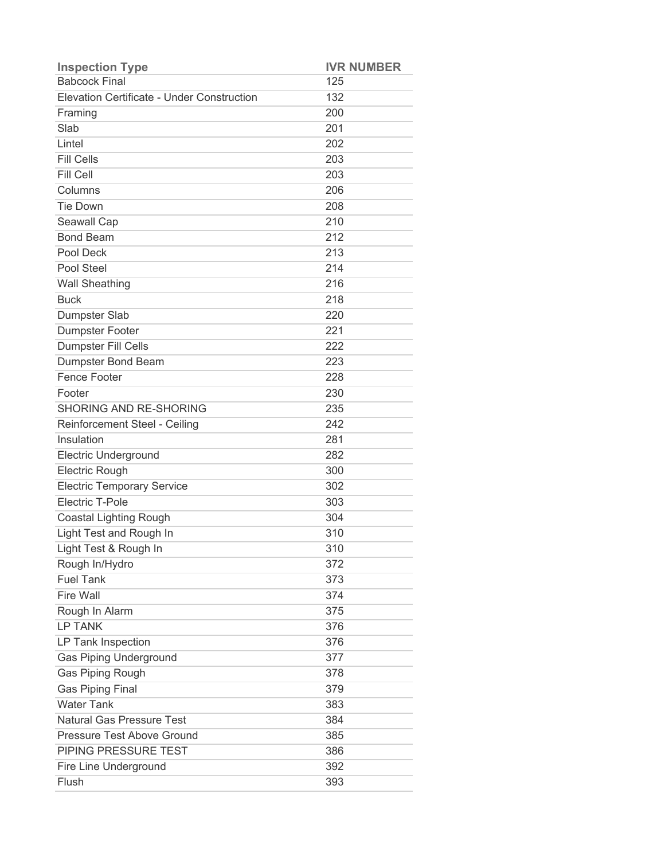| <b>Inspection Type</b>                     | <b>IVR NUMBER</b> |
|--------------------------------------------|-------------------|
| <b>Babcock Final</b>                       | 125               |
| Elevation Certificate - Under Construction | 132               |
| Framing                                    | 200               |
| Slab                                       | 201               |
| Lintel                                     | 202               |
| <b>Fill Cells</b>                          | 203               |
| Fill Cell                                  | 203               |
| Columns                                    | 206               |
| <b>Tie Down</b>                            | 208               |
| Seawall Cap                                | 210               |
| <b>Bond Beam</b>                           | 212               |
| Pool Deck                                  | 213               |
| Pool Steel                                 | 214               |
| <b>Wall Sheathing</b>                      | 216               |
| <b>Buck</b>                                | 218               |
| Dumpster Slab                              | 220               |
| <b>Dumpster Footer</b>                     | 221               |
| Dumpster Fill Cells                        | 222               |
| Dumpster Bond Beam                         | 223               |
| <b>Fence Footer</b>                        | 228               |
| Footer                                     | 230               |
| <b>SHORING AND RE-SHORING</b>              | 235               |
| Reinforcement Steel - Ceiling              | 242               |
| Insulation                                 | 281               |
| <b>Electric Underground</b>                | 282               |
| Electric Rough                             | 300               |
| <b>Electric Temporary Service</b>          | 302               |
| Electric T-Pole                            | 303               |
| <b>Coastal Lighting Rough</b>              | 304               |
| Light Test and Rough In                    | 310               |
| Light Test & Rough In                      | 310               |
| Rough In/Hydro                             | 372               |
| <b>Fuel Tank</b>                           | 373               |
| <b>Fire Wall</b>                           | 374               |
| Rough In Alarm                             | 375               |
| <b>LP TANK</b>                             | 376               |
| LP Tank Inspection                         | 376               |
| <b>Gas Piping Underground</b>              | 377               |
| <b>Gas Piping Rough</b>                    | 378               |
| <b>Gas Piping Final</b>                    | 379               |
| <b>Water Tank</b>                          | 383               |
| <b>Natural Gas Pressure Test</b>           | 384               |
| Pressure Test Above Ground                 | 385               |
| PIPING PRESSURE TEST                       | 386               |
| Fire Line Underground                      | 392               |
| Flush                                      | 393               |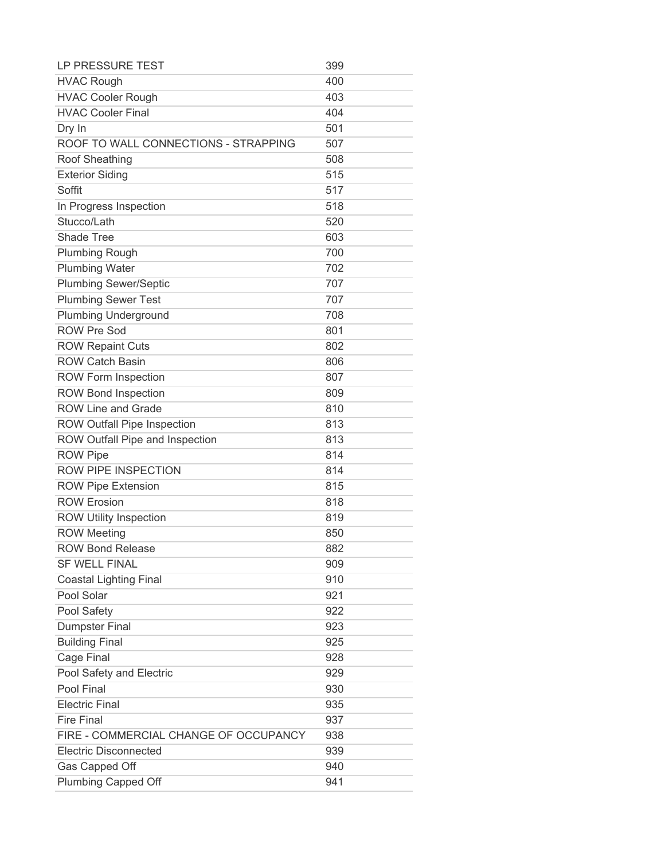| LP PRESSURE TEST                      | 399 |
|---------------------------------------|-----|
| <b>HVAC Rough</b>                     | 400 |
| <b>HVAC Cooler Rough</b>              | 403 |
| <b>HVAC Cooler Final</b>              | 404 |
| Dry In                                | 501 |
| ROOF TO WALL CONNECTIONS - STRAPPING  | 507 |
| Roof Sheathing                        | 508 |
| <b>Exterior Siding</b>                | 515 |
| Soffit                                | 517 |
| In Progress Inspection                | 518 |
| Stucco/Lath                           | 520 |
| <b>Shade Tree</b>                     | 603 |
| <b>Plumbing Rough</b>                 | 700 |
| <b>Plumbing Water</b>                 | 702 |
| <b>Plumbing Sewer/Septic</b>          | 707 |
| <b>Plumbing Sewer Test</b>            | 707 |
| <b>Plumbing Underground</b>           | 708 |
| <b>ROW Pre Sod</b>                    | 801 |
| <b>ROW Repaint Cuts</b>               | 802 |
| <b>ROW Catch Basin</b>                | 806 |
| <b>ROW Form Inspection</b>            | 807 |
| <b>ROW Bond Inspection</b>            | 809 |
| <b>ROW Line and Grade</b>             | 810 |
| <b>ROW Outfall Pipe Inspection</b>    | 813 |
| ROW Outfall Pipe and Inspection       | 813 |
| <b>ROW Pipe</b>                       | 814 |
| <b>ROW PIPE INSPECTION</b>            | 814 |
| <b>ROW Pipe Extension</b>             | 815 |
| <b>ROW Erosion</b>                    | 818 |
| <b>ROW Utility Inspection</b>         | 819 |
| <b>ROW Meeting</b>                    | 850 |
| <b>ROW Bond Release</b>               | 882 |
| <b>SF WELL FINAL</b>                  | 909 |
| <b>Coastal Lighting Final</b>         | 910 |
| Pool Solar                            | 921 |
| Pool Safety                           | 922 |
| <b>Dumpster Final</b>                 | 923 |
| <b>Building Final</b>                 | 925 |
| Cage Final                            | 928 |
| Pool Safety and Electric              | 929 |
| Pool Final                            | 930 |
| <b>Electric Final</b>                 | 935 |
| <b>Fire Final</b>                     | 937 |
| FIRE - COMMERCIAL CHANGE OF OCCUPANCY | 938 |
| <b>Electric Disconnected</b>          | 939 |
| Gas Capped Off                        | 940 |
| <b>Plumbing Capped Off</b>            | 941 |